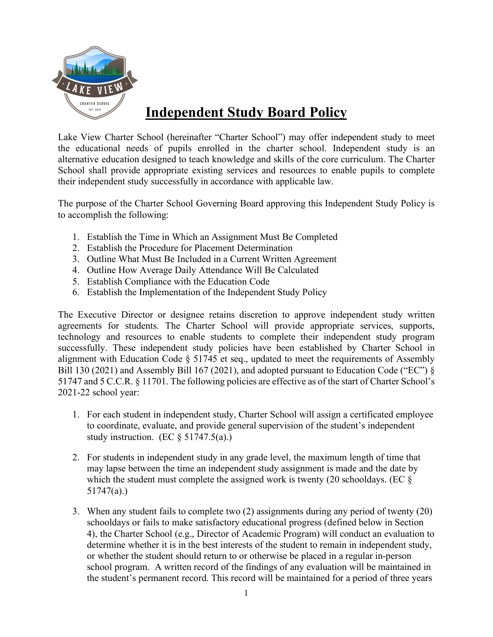

## **Independent Study Board Policy**

Lake View Charter School (hereinafter "Charter School") may offer independent study to meet the educational needs of pupils enrolled in the charter school. Independent study is an alternative education designed to teach knowledge and skills of the core curriculum. The Charter School shall provide appropriate existing services and resources to enable pupils to complete their independent study successfully in accordance with applicable law.

The purpose of the Charter School Governing Board approving this Independent Study Policy is to accomplish the following:

- 1. Establish the Time in Which an Assignment Must Be Completed
- 2. Establish the Procedure for Placement Determination
- 3. Outline What Must Be Included in a Current Written Agreement
- 4. Outline How Average Daily Attendance Will Be Calculated
- 5. Establish Compliance with the Education Code
- 6. Establish the Implementation of the Independent Study Policy

The Executive Director or designee retains discretion to approve independent study written agreements for students. The Charter School will provide appropriate services, supports, technology and resources to enable students to complete their independent study program successfully. These independent study policies have been established by Charter School in alignment with Education Code § 51745 et seq., updated to meet the requirements of Assembly Bill 130 (2021) and Assembly Bill 167 (2021), and adopted pursuant to Education Code ("EC") § 51747 and 5 C.C.R. § 11701. The following policies are effective as of the start of Charter School's 2021-22 school year:

- 1. For each student in independent study, Charter School will assign a certificated employee to coordinate, evaluate, and provide general supervision of the student's independent study instruction. (EC  $\S$  51747.5(a).)
- 2. For students in independent study in any grade level, the maximum length of time that may lapse between the time an independent study assignment is made and the date by which the student must complete the assigned work is twenty (20 schooldays. (EC  $\S$ ) 51747(a).)
- 3. When any student fails to complete two (2) assignments during any period of twenty (20) schooldays or fails to make satisfactory educational progress (defined below in Section 4), the Charter School (e.g., Director of Academic Program) will conduct an evaluation to determine whether it is in the best interests of the student to remain in independent study, or whether the student should return to or otherwise be placed in a regular in-person school program. A written record of the findings of any evaluation will be maintained in the student's permanent record. This record will be maintained for a period of three years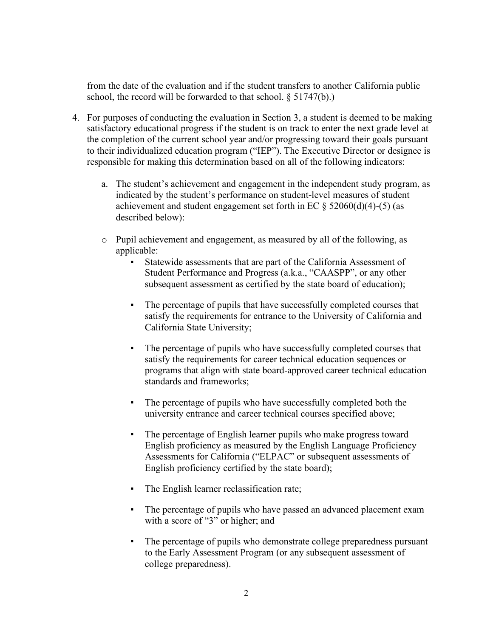from the date of the evaluation and if the student transfers to another California public school, the record will be forwarded to that school. § 51747(b).)

- 4. For purposes of conducting the evaluation in Section 3, a student is deemed to be making satisfactory educational progress if the student is on track to enter the next grade level at the completion of the current school year and/or progressing toward their goals pursuant to their individualized education program ("IEP"). The Executive Director or designee is responsible for making this determination based on all of the following indicators:
	- a. The student's achievement and engagement in the independent study program, as indicated by the student's performance on student-level measures of student achievement and student engagement set forth in EC  $\S$  52060(d)(4)-(5) (as described below):
	- o Pupil achievement and engagement, as measured by all of the following, as applicable:
		- Statewide assessments that are part of the California Assessment of Student Performance and Progress (a.k.a., "CAASPP", or any other subsequent assessment as certified by the state board of education);
		- The percentage of pupils that have successfully completed courses that satisfy the requirements for entrance to the University of California and California State University;
		- The percentage of pupils who have successfully completed courses that satisfy the requirements for career technical education sequences or programs that align with state board-approved career technical education standards and frameworks;
		- The percentage of pupils who have successfully completed both the university entrance and career technical courses specified above;
		- The percentage of English learner pupils who make progress toward English proficiency as measured by the English Language Proficiency Assessments for California ("ELPAC" or subsequent assessments of English proficiency certified by the state board);
		- The English learner reclassification rate;
		- The percentage of pupils who have passed an advanced placement exam with a score of "3" or higher; and
		- The percentage of pupils who demonstrate college preparedness pursuant to the Early Assessment Program (or any subsequent assessment of college preparedness).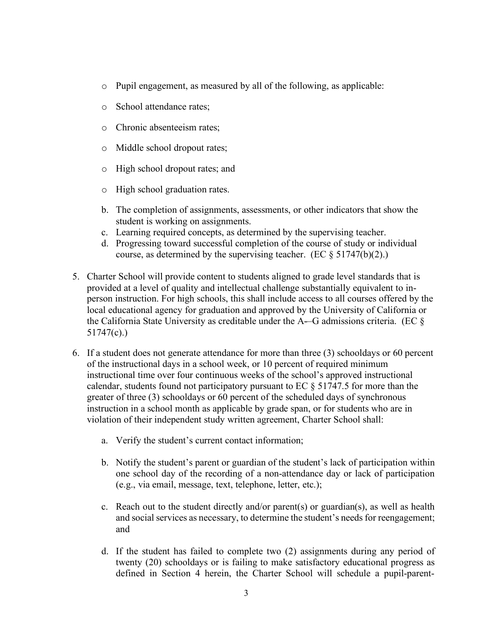- o Pupil engagement, as measured by all of the following, as applicable:
- o School attendance rates;
- o Chronic absenteeism rates;
- o Middle school dropout rates;
- o High school dropout rates; and
- o High school graduation rates.
- b. The completion of assignments, assessments, or other indicators that show the student is working on assignments.
- c. Learning required concepts, as determined by the supervising teacher.
- d. Progressing toward successful completion of the course of study or individual course, as determined by the supervising teacher. (EC § 51747(b)(2).)
- 5. Charter School will provide content to students aligned to grade level standards that is provided at a level of quality and intellectual challenge substantially equivalent to inperson instruction. For high schools, this shall include access to all courses offered by the local educational agency for graduation and approved by the University of California or the California State University as creditable under the A-–G admissions criteria. (EC § 51747(c).)
- 6. If a student does not generate attendance for more than three (3) schooldays or 60 percent of the instructional days in a school week, or 10 percent of required minimum instructional time over four continuous weeks of the school's approved instructional calendar, students found not participatory pursuant to EC § 51747.5 for more than the greater of three (3) schooldays or 60 percent of the scheduled days of synchronous instruction in a school month as applicable by grade span, or for students who are in violation of their independent study written agreement, Charter School shall:
	- a. Verify the student's current contact information;
	- b. Notify the student's parent or guardian of the student's lack of participation within one school day of the recording of a non-attendance day or lack of participation (e.g., via email, message, text, telephone, letter, etc.);
	- c. Reach out to the student directly and/or parent(s) or guardian(s), as well as health and social services as necessary, to determine the student's needs for reengagement; and
	- d. If the student has failed to complete two (2) assignments during any period of twenty (20) schooldays or is failing to make satisfactory educational progress as defined in Section 4 herein, the Charter School will schedule a pupil-parent-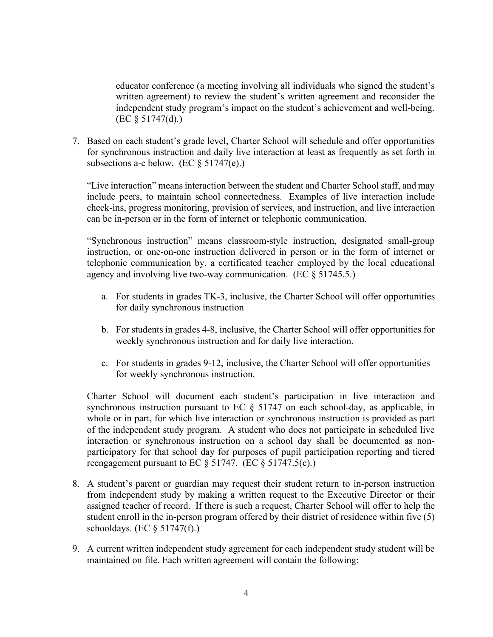educator conference (a meeting involving all individuals who signed the student's written agreement) to review the student's written agreement and reconsider the independent study program's impact on the student's achievement and well-being. (EC § 51747(d).)

7. Based on each student's grade level, Charter School will schedule and offer opportunities for synchronous instruction and daily live interaction at least as frequently as set forth in subsections a-c below. (EC  $\S 51747(e)$ .)

"Live interaction" means interaction between the student and Charter School staff, and may include peers, to maintain school connectedness. Examples of live interaction include check-ins, progress monitoring, provision of services, and instruction, and live interaction can be in-person or in the form of internet or telephonic communication.

"Synchronous instruction" means classroom-style instruction, designated small-group instruction, or one-on-one instruction delivered in person or in the form of internet or telephonic communication by, a certificated teacher employed by the local educational agency and involving live two-way communication. (EC § 51745.5.)

- a. For students in grades TK-3, inclusive, the Charter School will offer opportunities for daily synchronous instruction
- b. For students in grades 4-8, inclusive, the Charter School will offer opportunities for weekly synchronous instruction and for daily live interaction.
- c. For students in grades 9-12, inclusive, the Charter School will offer opportunities for weekly synchronous instruction.

Charter School will document each student's participation in live interaction and synchronous instruction pursuant to EC § 51747 on each school-day, as applicable, in whole or in part, for which live interaction or synchronous instruction is provided as part of the independent study program. A student who does not participate in scheduled live interaction or synchronous instruction on a school day shall be documented as nonparticipatory for that school day for purposes of pupil participation reporting and tiered reengagement pursuant to EC § 51747. (EC § 51747.5(c).)

- 8. A student's parent or guardian may request their student return to in-person instruction from independent study by making a written request to the Executive Director or their assigned teacher of record. If there is such a request, Charter School will offer to help the student enroll in the in-person program offered by their district of residence within five (5) schooldays. (EC  $\S$  51747(f).)
- 9. A current written independent study agreement for each independent study student will be maintained on file. Each written agreement will contain the following: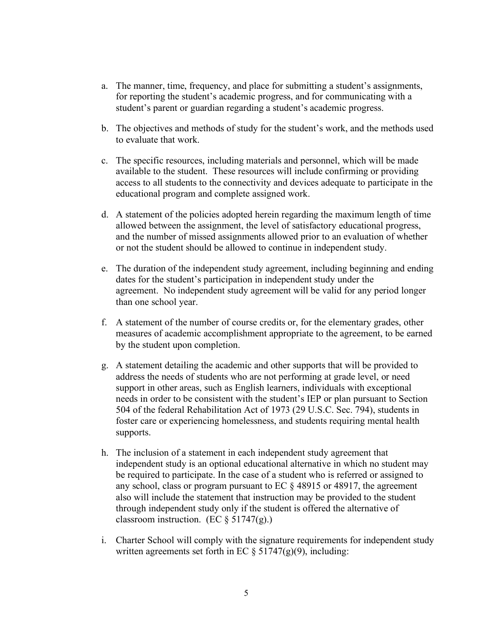- a. The manner, time, frequency, and place for submitting a student's assignments, for reporting the student's academic progress, and for communicating with a student's parent or guardian regarding a student's academic progress.
- b. The objectives and methods of study for the student's work, and the methods used to evaluate that work.
- c. The specific resources, including materials and personnel, which will be made available to the student. These resources will include confirming or providing access to all students to the connectivity and devices adequate to participate in the educational program and complete assigned work.
- d. A statement of the policies adopted herein regarding the maximum length of time allowed between the assignment, the level of satisfactory educational progress, and the number of missed assignments allowed prior to an evaluation of whether or not the student should be allowed to continue in independent study.
- e. The duration of the independent study agreement, including beginning and ending dates for the student's participation in independent study under the agreement. No independent study agreement will be valid for any period longer than one school year.
- f. A statement of the number of course credits or, for the elementary grades, other measures of academic accomplishment appropriate to the agreement, to be earned by the student upon completion.
- g. A statement detailing the academic and other supports that will be provided to address the needs of students who are not performing at grade level, or need support in other areas, such as English learners, individuals with exceptional needs in order to be consistent with the student's IEP or plan pursuant to Section 504 of the federal Rehabilitation Act of 1973 (29 U.S.C. Sec. 794), students in foster care or experiencing homelessness, and students requiring mental health supports.
- h. The inclusion of a statement in each independent study agreement that independent study is an optional educational alternative in which no student may be required to participate. In the case of a student who is referred or assigned to any school, class or program pursuant to EC § 48915 or 48917, the agreement also will include the statement that instruction may be provided to the student through independent study only if the student is offered the alternative of classroom instruction. (EC  $\S 51747(g)$ .)
- i. Charter School will comply with the signature requirements for independent study written agreements set forth in EC  $\S 51747(g)(9)$ , including: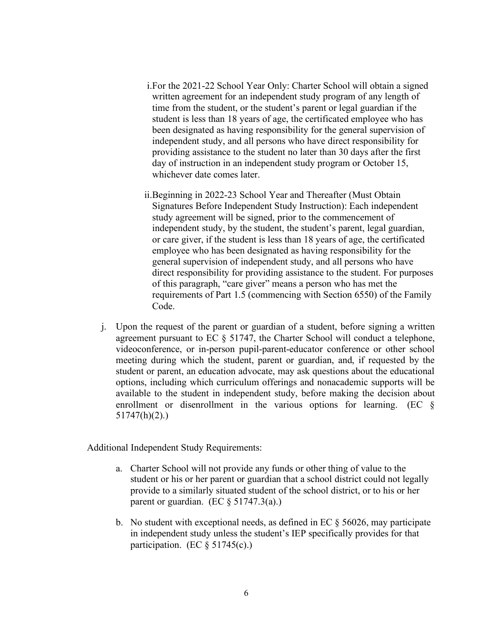- i.For the 2021-22 School Year Only: Charter School will obtain a signed written agreement for an independent study program of any length of time from the student, or the student's parent or legal guardian if the student is less than 18 years of age, the certificated employee who has been designated as having responsibility for the general supervision of independent study, and all persons who have direct responsibility for providing assistance to the student no later than 30 days after the first day of instruction in an independent study program or October 15, whichever date comes later.
- ii.Beginning in 2022-23 School Year and Thereafter (Must Obtain Signatures Before Independent Study Instruction): Each independent study agreement will be signed, prior to the commencement of independent study, by the student, the student's parent, legal guardian, or care giver, if the student is less than 18 years of age, the certificated employee who has been designated as having responsibility for the general supervision of independent study, and all persons who have direct responsibility for providing assistance to the student. For purposes of this paragraph, "care giver" means a person who has met the requirements of Part 1.5 (commencing with Section 6550) of the Family Code.
- j. Upon the request of the parent or guardian of a student, before signing a written agreement pursuant to EC § 51747, the Charter School will conduct a telephone, videoconference, or in-person pupil-parent-educator conference or other school meeting during which the student, parent or guardian, and, if requested by the student or parent, an education advocate, may ask questions about the educational options, including which curriculum offerings and nonacademic supports will be available to the student in independent study, before making the decision about enrollment or disenrollment in the various options for learning. (EC § 51747(h)(2).)

Additional Independent Study Requirements:

- a. Charter School will not provide any funds or other thing of value to the student or his or her parent or guardian that a school district could not legally provide to a similarly situated student of the school district, or to his or her parent or guardian. (EC  $\S$  51747.3(a).)
- b. No student with exceptional needs, as defined in EC  $\S$  56026, may participate in independent study unless the student's IEP specifically provides for that participation. (EC  $\S$  51745(c).)